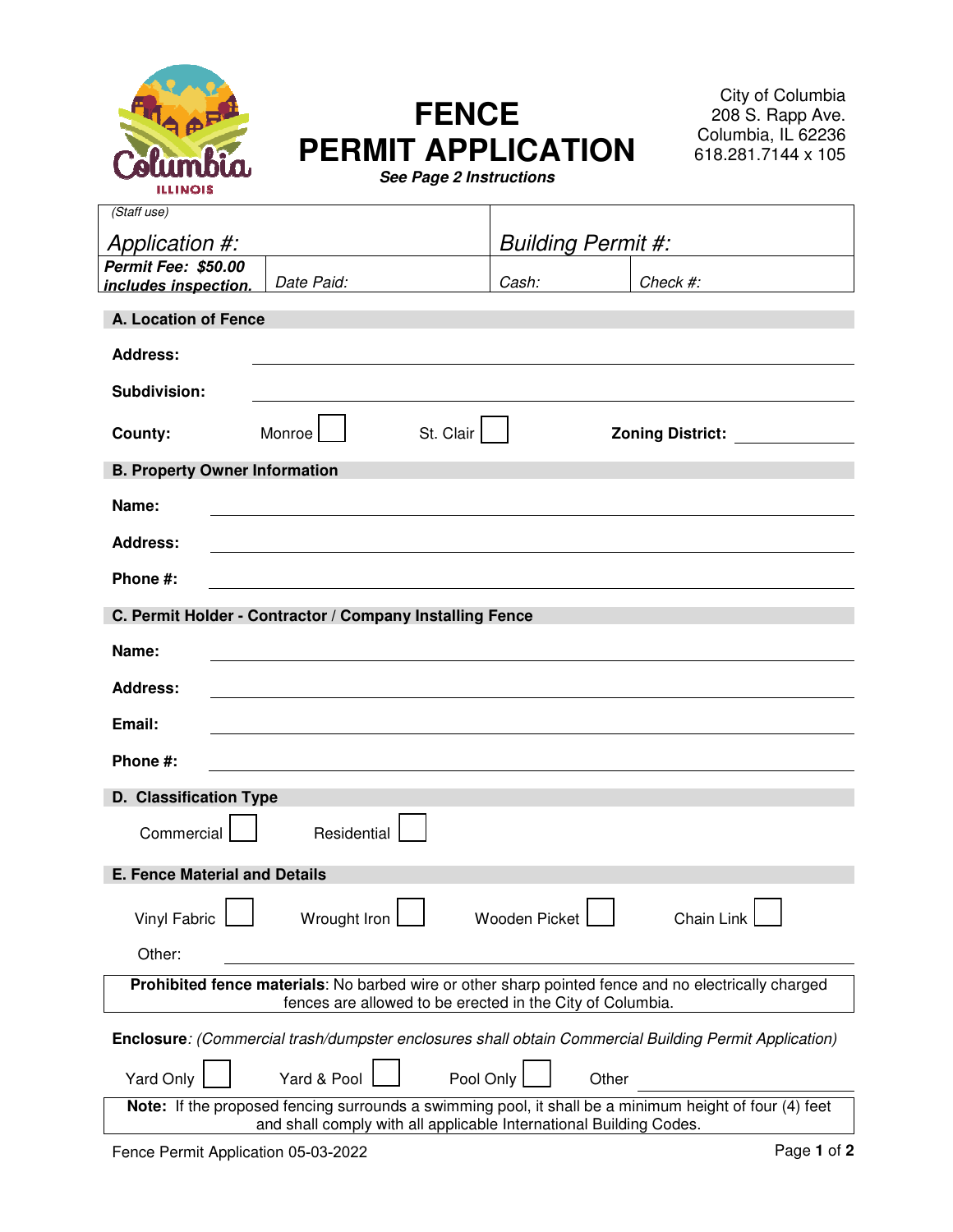

# **FENCE PERMIT APPLICATION**

City of Columbia 208 S. Rapp Ave. Columbia, IL 62236 618.281.7144 x 105

**See Page 2 Instructions** 

| (Staff use)                                                                                                                                                                  |              |                           |                      |       |                                      |
|------------------------------------------------------------------------------------------------------------------------------------------------------------------------------|--------------|---------------------------|----------------------|-------|--------------------------------------|
|                                                                                                                                                                              |              |                           |                      |       |                                      |
| Application #:                                                                                                                                                               |              | <b>Building Permit #:</b> |                      |       |                                      |
| Permit Fee: \$50.00<br>includes inspection.                                                                                                                                  | Date Paid:   |                           | Cash:                |       | Check #:                             |
|                                                                                                                                                                              |              |                           |                      |       |                                      |
| A. Location of Fence                                                                                                                                                         |              |                           |                      |       |                                      |
| <b>Address:</b>                                                                                                                                                              |              |                           |                      |       |                                      |
| Subdivision:                                                                                                                                                                 |              |                           |                      |       |                                      |
| County:                                                                                                                                                                      | Monroe       | St. Clair                 |                      |       | <b>Zoning District: Example 2011</b> |
| <b>B. Property Owner Information</b>                                                                                                                                         |              |                           |                      |       |                                      |
| Name:                                                                                                                                                                        |              |                           |                      |       |                                      |
| <b>Address:</b>                                                                                                                                                              |              |                           |                      |       |                                      |
| Phone #:                                                                                                                                                                     |              |                           |                      |       |                                      |
| C. Permit Holder - Contractor / Company Installing Fence                                                                                                                     |              |                           |                      |       |                                      |
| Name:                                                                                                                                                                        |              |                           |                      |       |                                      |
| <b>Address:</b>                                                                                                                                                              |              |                           |                      |       |                                      |
| Email:                                                                                                                                                                       |              |                           |                      |       |                                      |
| Phone #:                                                                                                                                                                     |              |                           |                      |       |                                      |
| D. Classification Type                                                                                                                                                       |              |                           |                      |       |                                      |
| Commercial                                                                                                                                                                   | Residential  |                           |                      |       |                                      |
| <b>E. Fence Material and Details</b>                                                                                                                                         |              |                           |                      |       |                                      |
| <b>Vinyl Fabric</b>                                                                                                                                                          | Wrought Iron |                           | <b>Wooden Picket</b> |       | Chain Link                           |
| Other:                                                                                                                                                                       |              |                           |                      |       |                                      |
| Prohibited fence materials: No barbed wire or other sharp pointed fence and no electrically charged                                                                          |              |                           |                      |       |                                      |
| fences are allowed to be erected in the City of Columbia.                                                                                                                    |              |                           |                      |       |                                      |
| Enclosure: (Commercial trash/dumpster enclosures shall obtain Commercial Building Permit Application)                                                                        |              |                           |                      |       |                                      |
| Yard Only                                                                                                                                                                    | Yard & Pool  | Pool Only                 |                      | Other |                                      |
| Note: If the proposed fencing surrounds a swimming pool, it shall be a minimum height of four (4) feet<br>and shall comply with all applicable International Building Codes. |              |                           |                      |       |                                      |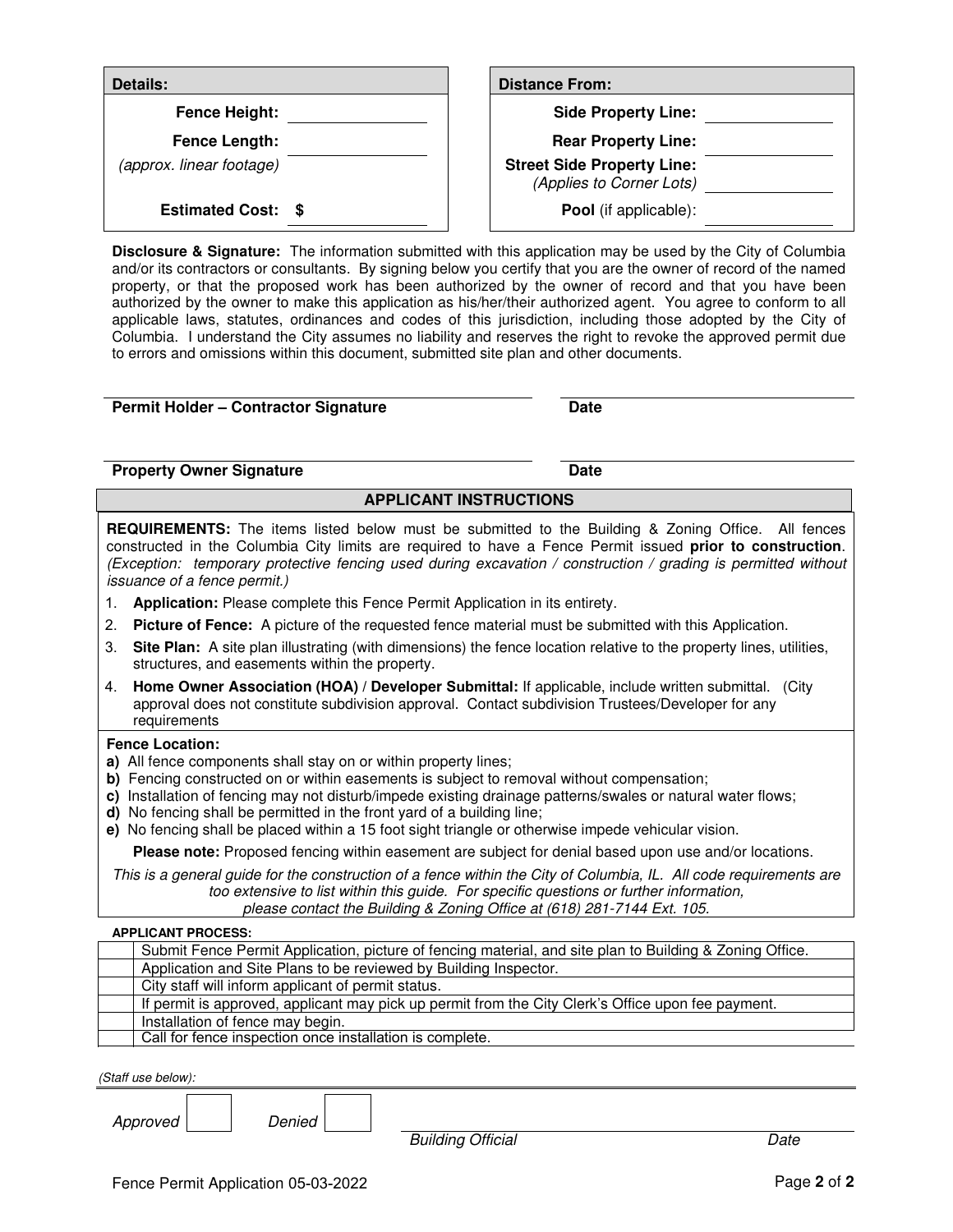| <b>Details:</b>           | <b>Distance From:</b>                                         |
|---------------------------|---------------------------------------------------------------|
| Fence Height:             | <b>Side Property Line:</b>                                    |
| Fence Length:             | <b>Rear Property Line:</b>                                    |
| (approx. linear footage)  | <b>Street Side Property Line:</b><br>(Applies to Corner Lots) |
| <b>Estimated Cost: \$</b> | <b>Pool</b> (if applicable):                                  |

**Disclosure & Signature:** The information submitted with this application may be used by the City of Columbia and/or its contractors or consultants. By signing below you certify that you are the owner of record of the named property, or that the proposed work has been authorized by the owner of record and that you have been authorized by the owner to make this application as his/her/their authorized agent. You agree to conform to all applicable laws, statutes, ordinances and codes of this jurisdiction, including those adopted by the City of Columbia. I understand the City assumes no liability and reserves the right to revoke the approved permit due to errors and omissions within this document, submitted site plan and other documents.

#### **Permit Holder – Contractor Signature Date Date**

## **Property Owner Signature Community Community Community Community Community Community Community Community Community**

## **APPLICANT INSTRUCTIONS**

**REQUIREMENTS:** The items listed below must be submitted to the Building & Zoning Office. All fences constructed in the Columbia City limits are required to have a Fence Permit issued **prior to construction**. (Exception: temporary protective fencing used during excavation / construction / grading is permitted without issuance of a fence permit.)

- 1. **Application:** Please complete this Fence Permit Application in its entirety.
- 2. **Picture of Fence:** A picture of the requested fence material must be submitted with this Application.
- 3. **Site Plan:** A site plan illustrating (with dimensions) the fence location relative to the property lines, utilities, structures, and easements within the property.
- 4. **Home Owner Association (HOA) / Developer Submittal:** If applicable, include written submittal. (City approval does not constitute subdivision approval. Contact subdivision Trustees/Developer for any requirements

## **Fence Location:**

- **a)** All fence components shall stay on or within property lines;
- **b)** Fencing constructed on or within easements is subject to removal without compensation;
- **c)** Installation of fencing may not disturb/impede existing drainage patterns/swales or natural water flows;
- **d)** No fencing shall be permitted in the front yard of a building line;
- **e)** No fencing shall be placed within a 15 foot sight triangle or otherwise impede vehicular vision.

**Please note:** Proposed fencing within easement are subject for denial based upon use and/or locations.

This is a general guide for the construction of a fence within the City of Columbia, IL. All code requirements are too extensive to list within this guide. For specific questions or further information, please contact the Building & Zoning Office at (618) 281-7144 Ext. 105.

#### **APPLICANT PROCESS:**

| Submit Fence Permit Application, picture of fencing material, and site plan to Building & Zoning Office. |
|----------------------------------------------------------------------------------------------------------|
| Application and Site Plans to be reviewed by Building Inspector.                                         |
| City staff will inform applicant of permit status.                                                       |
| If permit is approved, applicant may pick up permit from the City Clerk's Office upon fee payment.       |
| Installation of fence may begin.                                                                         |
| Call for fence inspection once installation is complete.                                                 |

(Staff use below):

Approved Denied

Building Official **Date**